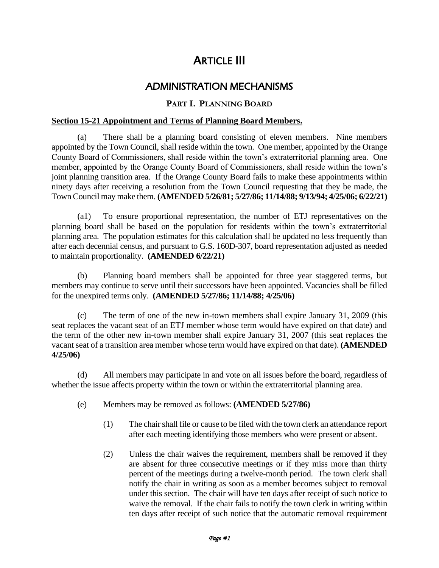# **ARTICLE III**

# ADMINISTRATION MECHANISMS

# **PART I. PLANNING BOARD**

# **Section 15-21 Appointment and Terms of Planning Board Members.**

(a) There shall be a planning board consisting of eleven members. Nine members appointed by the Town Council, shall reside within the town. One member, appointed by the Orange County Board of Commissioners, shall reside within the town's extraterritorial planning area. One member, appointed by the Orange County Board of Commissioners, shall reside within the town's joint planning transition area. If the Orange County Board fails to make these appointments within ninety days after receiving a resolution from the Town Council requesting that they be made, the Town Council may make them. **(AMENDED 5/26/81; 5/27/86; 11/14/88; 9/13/94; 4/25/06; 6/22/21)**

(a1) To ensure proportional representation, the number of ETJ representatives on the planning board shall be based on the population for residents within the town's extraterritorial planning area. The population estimates for this calculation shall be updated no less frequently than after each decennial census, and pursuant to G.S. 160D-307, board representation adjusted as needed to maintain proportionality. **(AMENDED 6/22/21)**

(b) Planning board members shall be appointed for three year staggered terms, but members may continue to serve until their successors have been appointed. Vacancies shall be filled for the unexpired terms only. **(AMENDED 5/27/86; 11/14/88; 4/25/06)**

(c) The term of one of the new in-town members shall expire January 31, 2009 (this seat replaces the vacant seat of an ETJ member whose term would have expired on that date) and the term of the other new in-town member shall expire January 31, 2007 (this seat replaces the vacant seat of a transition area member whose term would have expired on that date). **(AMENDED 4/25/06)** 

(d) All members may participate in and vote on all issues before the board, regardless of whether the issue affects property within the town or within the extraterritorial planning area.

- (e) Members may be removed as follows: **(AMENDED 5/27/86)**
	- (1) The chair shall file or cause to be filed with the town clerk an attendance report after each meeting identifying those members who were present or absent.
	- (2) Unless the chair waives the requirement, members shall be removed if they are absent for three consecutive meetings or if they miss more than thirty percent of the meetings during a twelve-month period. The town clerk shall notify the chair in writing as soon as a member becomes subject to removal under this section. The chair will have ten days after receipt of such notice to waive the removal. If the chair fails to notify the town clerk in writing within ten days after receipt of such notice that the automatic removal requirement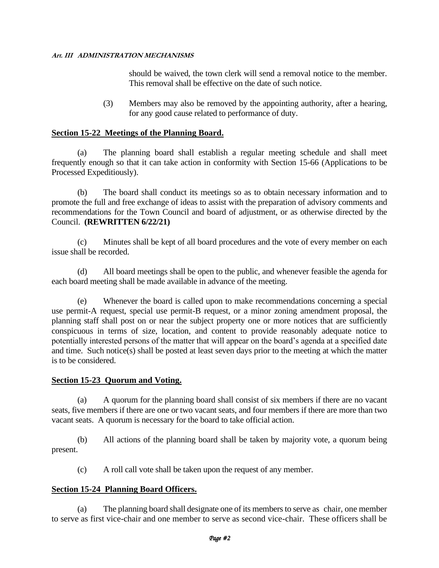should be waived, the town clerk will send a removal notice to the member. This removal shall be effective on the date of such notice.

(3) Members may also be removed by the appointing authority, after a hearing, for any good cause related to performance of duty.

# **Section 15-22 Meetings of the Planning Board.**

(a) The planning board shall establish a regular meeting schedule and shall meet frequently enough so that it can take action in conformity with Section 15-66 (Applications to be Processed Expeditiously).

(b) The board shall conduct its meetings so as to obtain necessary information and to promote the full and free exchange of ideas to assist with the preparation of advisory comments and recommendations for the Town Council and board of adjustment, or as otherwise directed by the Council. **(REWRITTEN 6/22/21)**

(c) Minutes shall be kept of all board procedures and the vote of every member on each issue shall be recorded.

(d) All board meetings shall be open to the public, and whenever feasible the agenda for each board meeting shall be made available in advance of the meeting.

(e) Whenever the board is called upon to make recommendations concerning a special use permit-A request, special use permit-B request, or a minor zoning amendment proposal, the planning staff shall post on or near the subject property one or more notices that are sufficiently conspicuous in terms of size, location, and content to provide reasonably adequate notice to potentially interested persons of the matter that will appear on the board's agenda at a specified date and time. Such notice(s) shall be posted at least seven days prior to the meeting at which the matter is to be considered.

#### **Section 15-23 Quorum and Voting.**

(a) A quorum for the planning board shall consist of six members if there are no vacant seats, five members if there are one or two vacant seats, and four members if there are more than two vacant seats. A quorum is necessary for the board to take official action.

(b) All actions of the planning board shall be taken by majority vote, a quorum being present.

(c) A roll call vote shall be taken upon the request of any member.

#### **Section 15-24 Planning Board Officers.**

(a) The planning board shall designate one of its members to serve as chair, one member to serve as first vice-chair and one member to serve as second vice-chair. These officers shall be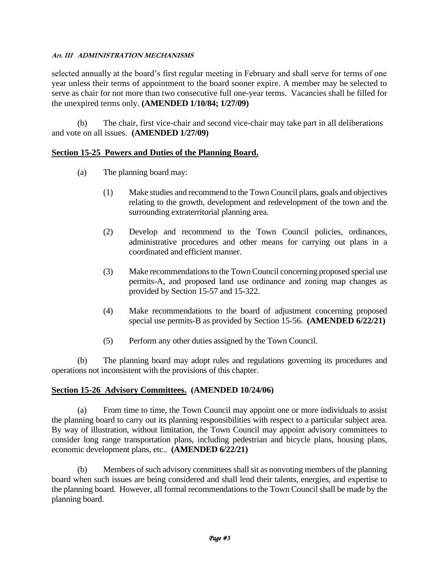selected annually at the board's first regular meeting in February and shall serve for terms of one year unless their terms of appointment to the board sooner expire. A member may be selected to serve as chair for not more than two consecutive full one-year terms. Vacancies shall be filled for the unexpired terms only. **(AMENDED 1/10/84; 1/27/09)**

(b) The chair, first vice-chair and second vice-chair may take part in all deliberations and vote on all issues. **(AMENDED 1/27/09)**

#### **Section 15-25 Powers and Duties of the Planning Board.**

- (a) The planning board may:
	- (1) Make studies and recommend to the Town Council plans, goals and objectives relating to the growth, development and redevelopment of the town and the surrounding extraterritorial planning area.
	- (2) Develop and recommend to the Town Council policies, ordinances, administrative procedures and other means for carrying out plans in a coordinated and efficient manner.
	- (3) Make recommendations to the Town Council concerning proposed special use permits-A, and proposed land use ordinance and zoning map changes as provided by Section 15-57 and 15-322.
	- (4) Make recommendations to the board of adjustment concerning proposed special use permits-B as provided by Section 15-56. **(AMENDED 6/22/21)**
	- (5) Perform any other duties assigned by the Town Council.

(b) The planning board may adopt rules and regulations governing its procedures and operations not inconsistent with the provisions of this chapter.

#### **Section 15-26 Advisory Committees. (AMENDED 10/24/06)**

(a) From time to time, the Town Council may appoint one or more individuals to assist the planning board to carry out its planning responsibilities with respect to a particular subject area. By way of illustration, without limitation, the Town Council may appoint advisory committees to consider long range transportation plans, including pedestrian and bicycle plans, housing plans, economic development plans, etc.. **(AMENDED 6/22/21)**

(b) Members of such advisory committees shall sit as nonvoting members of the planning board when such issues are being considered and shall lend their talents, energies, and expertise to the planning board. However, all formal recommendations to the Town Council shall be made by the planning board.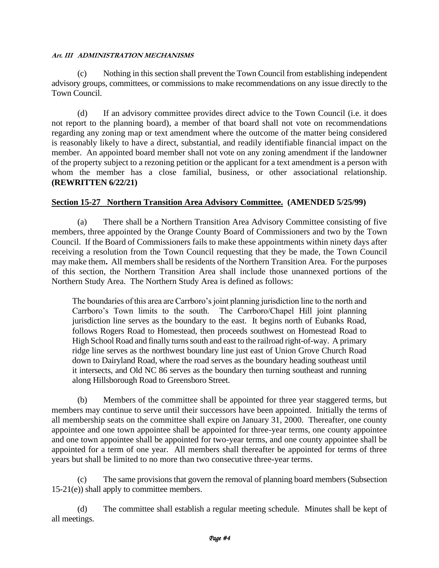(c) Nothing in this section shall prevent the Town Council from establishing independent advisory groups, committees, or commissions to make recommendations on any issue directly to the Town Council.

(d) If an advisory committee provides direct advice to the Town Council (i.e. it does not report to the planning board), a member of that board shall not vote on recommendations regarding any zoning map or text amendment where the outcome of the matter being considered is reasonably likely to have a direct, substantial, and readily identifiable financial impact on the member. An appointed board member shall not vote on any zoning amendment if the landowner of the property subject to a rezoning petition or the applicant for a text amendment is a person with whom the member has a close familial, business, or other associational relationship. **(REWRITTEN 6/22/21)**

# **Section 15-27 Northern Transition Area Advisory Committee. (AMENDED 5/25/99)**

(a) There shall be a Northern Transition Area Advisory Committee consisting of five members, three appointed by the Orange County Board of Commissioners and two by the Town Council. If the Board of Commissioners fails to make these appointments within ninety days after receiving a resolution from the Town Council requesting that they be made, the Town Council may make them**.** All members shall be residents of the Northern Transition Area. For the purposes of this section, the Northern Transition Area shall include those unannexed portions of the Northern Study Area. The Northern Study Area is defined as follows:

The boundaries of this area are Carrboro's joint planning jurisdiction line to the north and Carrboro's Town limits to the south. The Carrboro/Chapel Hill joint planning jurisdiction line serves as the boundary to the east. It begins north of Eubanks Road, follows Rogers Road to Homestead, then proceeds southwest on Homestead Road to High School Road and finally turns south and east to the railroad right-of-way. A primary ridge line serves as the northwest boundary line just east of Union Grove Church Road down to Dairyland Road, where the road serves as the boundary heading southeast until it intersects, and Old NC 86 serves as the boundary then turning southeast and running along Hillsborough Road to Greensboro Street.

(b) Members of the committee shall be appointed for three year staggered terms, but members may continue to serve until their successors have been appointed. Initially the terms of all membership seats on the committee shall expire on January 31, 2000. Thereafter, one county appointee and one town appointee shall be appointed for three-year terms, one county appointee and one town appointee shall be appointed for two-year terms, and one county appointee shall be appointed for a term of one year. All members shall thereafter be appointed for terms of three years but shall be limited to no more than two consecutive three-year terms.

(c) The same provisions that govern the removal of planning board members (Subsection 15-21(e)) shall apply to committee members.

(d) The committee shall establish a regular meeting schedule. Minutes shall be kept of all meetings.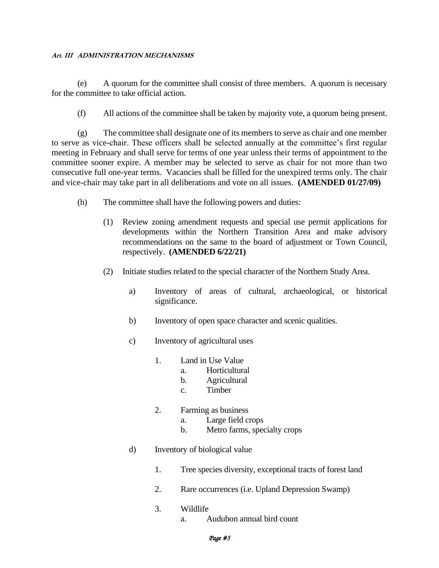(e) A quorum for the committee shall consist of three members. A quorum is necessary for the committee to take official action.

(f) All actions of the committee shall be taken by majority vote, a quorum being present.

(g) The committee shall designate one of its members to serve as chair and one member to serve as vice-chair. These officers shall be selected annually at the committee's first regular meeting in February and shall serve for terms of one year unless their terms of appointment to the committee sooner expire. A member may be selected to serve as chair for not more than two consecutive full one-year terms. Vacancies shall be filled for the unexpired terms only. The chair and vice-chair may take part in all deliberations and vote on all issues. **(AMENDED 01/27/09)**

- (h) The committee shall have the following powers and duties:
	- (1) Review zoning amendment requests and special use permit applications for developments within the Northern Transition Area and make advisory recommendations on the same to the board of adjustment or Town Council, respectively. **(AMENDED 6/22/21)**
	- (2) Initiate studies related to the special character of the Northern Study Area.
		- a) Inventory of areas of cultural, archaeological, or historical significance.
		- b) Inventory of open space character and scenic qualities.
		- c) Inventory of agricultural uses
			- 1. Land in Use Value
				- a. Horticultural
				- b. Agricultural
				- c. Timber
			- 2. Farming as business
				- a. Large field crops
				- b. Metro farms, specialty crops
		- d) Inventory of biological value
			- 1. Tree species diversity, exceptional tracts of forest land
			- 2. Rare occurrences (i.e. Upland Depression Swamp)
			- 3. Wildlife
				- a. Audubon annual bird count

#### *Page #5*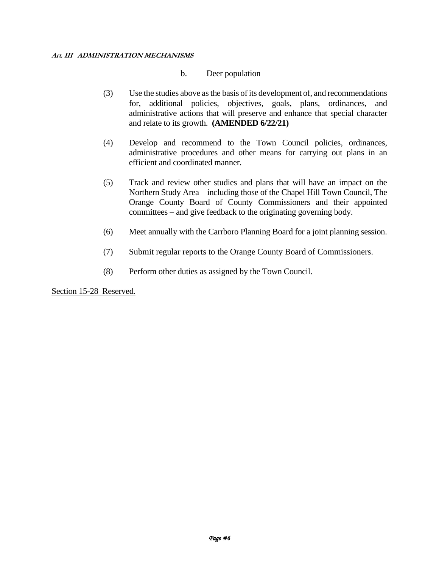#### b. Deer population

- (3) Use the studies above as the basis of its development of, and recommendations for, additional policies, objectives, goals, plans, ordinances, and administrative actions that will preserve and enhance that special character and relate to its growth. **(AMENDED 6/22/21)**
- (4) Develop and recommend to the Town Council policies, ordinances, administrative procedures and other means for carrying out plans in an efficient and coordinated manner.
- (5) Track and review other studies and plans that will have an impact on the Northern Study Area – including those of the Chapel Hill Town Council, The Orange County Board of County Commissioners and their appointed committees – and give feedback to the originating governing body.
- (6) Meet annually with the Carrboro Planning Board for a joint planning session.
- (7) Submit regular reports to the Orange County Board of Commissioners.
- (8) Perform other duties as assigned by the Town Council.

Section 15-28 Reserved.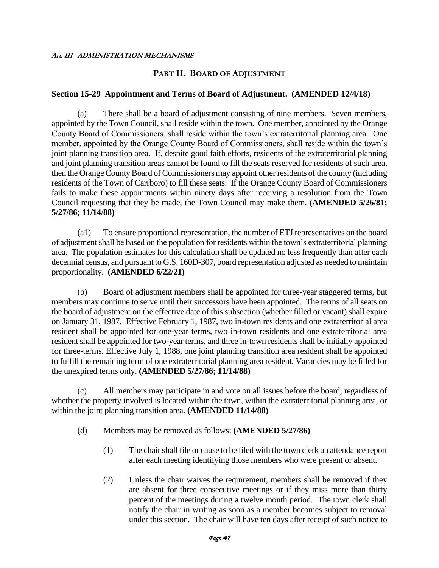# **PART II. BOARD OF ADJUSTMENT**

#### **Section 15-29 Appointment and Terms of Board of Adjustment. (AMENDED 12/4/18)**

(a) There shall be a board of adjustment consisting of nine members. Seven members, appointed by the Town Council, shall reside within the town. One member, appointed by the Orange County Board of Commissioners, shall reside within the town's extraterritorial planning area. One member, appointed by the Orange County Board of Commissioners, shall reside within the town's joint planning transition area. If, despite good faith efforts, residents of the extraterritorial planning and joint planning transition areas cannot be found to fill the seats reserved for residents of such area, then the Orange County Board of Commissioners may appoint other residents of the county (including residents of the Town of Carrboro) to fill these seats. If the Orange County Board of Commissioners fails to make these appointments within ninety days after receiving a resolution from the Town Council requesting that they be made, the Town Council may make them. **(AMENDED 5/26/81; 5/27/86; 11/14/88)**

(a1) To ensure proportional representation, the number of ETJ representatives on the board of adjustment shall be based on the population for residents within the town's extraterritorial planning area. The population estimates for this calculation shall be updated no less frequently than after each decennial census, and pursuant to G.S. 160D-307, board representation adjusted as needed to maintain proportionality. **(AMENDED 6/22/21)**

(b) Board of adjustment members shall be appointed for three-year staggered terms, but members may continue to serve until their successors have been appointed. The terms of all seats on the board of adjustment on the effective date of this subsection (whether filled or vacant) shall expire on January 31, 1987. Effective February 1, 1987, two in-town residents and one extraterritorial area resident shall be appointed for one-year terms, two in-town residents and one extraterritorial area resident shall be appointed for two-year terms, and three in-town residents shall be initially appointed for three-terms. Effective July 1, 1988, one joint planning transition area resident shall be appointed to fulfill the remaining term of one extraterritorial planning area resident. Vacancies may be filled for the unexpired terms only. **(AMENDED 5/27/86; 11/14/88)**

(c) All members may participate in and vote on all issues before the board, regardless of whether the property involved is located within the town, within the extraterritorial planning area, or within the joint planning transition area. **(AMENDED 11/14/88)**

- (d) Members may be removed as follows: **(AMENDED 5/27/86)**
	- (1) The chair shall file or cause to be filed with the town clerk an attendance report after each meeting identifying those members who were present or absent.
	- (2) Unless the chair waives the requirement, members shall be removed if they are absent for three consecutive meetings or if they miss more than thirty percent of the meetings during a twelve month period. The town clerk shall notify the chair in writing as soon as a member becomes subject to removal under this section. The chair will have ten days after receipt of such notice to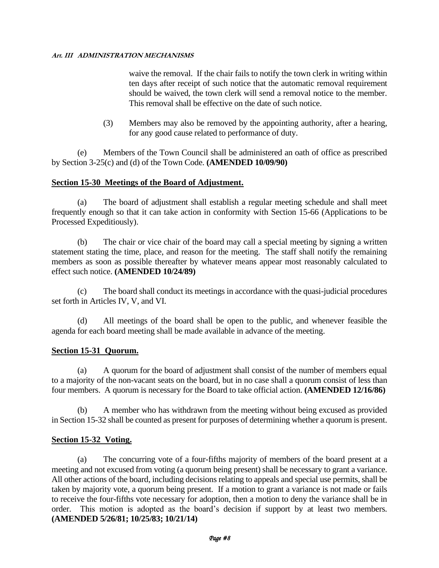waive the removal. If the chair fails to notify the town clerk in writing within ten days after receipt of such notice that the automatic removal requirement should be waived, the town clerk will send a removal notice to the member. This removal shall be effective on the date of such notice.

(3) Members may also be removed by the appointing authority, after a hearing, for any good cause related to performance of duty.

(e) Members of the Town Council shall be administered an oath of office as prescribed by Section 3-25(c) and (d) of the Town Code. **(AMENDED 10/09/90)**

#### **Section 15-30 Meetings of the Board of Adjustment.**

(a) The board of adjustment shall establish a regular meeting schedule and shall meet frequently enough so that it can take action in conformity with Section 15-66 (Applications to be Processed Expeditiously).

(b) The chair or vice chair of the board may call a special meeting by signing a written statement stating the time, place, and reason for the meeting. The staff shall notify the remaining members as soon as possible thereafter by whatever means appear most reasonably calculated to effect such notice. **(AMENDED 10/24/89)**

(c) The board shall conduct its meetings in accordance with the quasi-judicial procedures set forth in Articles IV, V, and VI.

(d) All meetings of the board shall be open to the public, and whenever feasible the agenda for each board meeting shall be made available in advance of the meeting.

# **Section 15-31 Quorum.**

(a) A quorum for the board of adjustment shall consist of the number of members equal to a majority of the non-vacant seats on the board, but in no case shall a quorum consist of less than four members. A quorum is necessary for the Board to take official action. **(AMENDED 12/16/86)**

(b) A member who has withdrawn from the meeting without being excused as provided in Section 15-32 shall be counted as present for purposes of determining whether a quorum is present.

# **Section 15-32 Voting.**

(a) The concurring vote of a four-fifths majority of members of the board present at a meeting and not excused from voting (a quorum being present) shall be necessary to grant a variance. All other actions of the board, including decisions relating to appeals and special use permits, shall be taken by majority vote, a quorum being present. If a motion to grant a variance is not made or fails to receive the four-fifths vote necessary for adoption, then a motion to deny the variance shall be in order. This motion is adopted as the board's decision if support by at least two members. **(AMENDED 5/26/81; 10/25/83; 10/21/14)**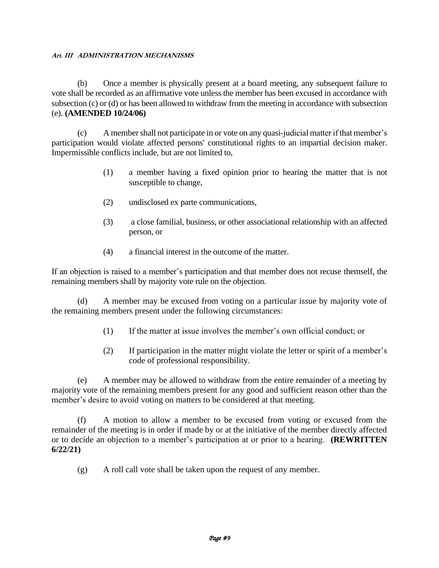(b) Once a member is physically present at a board meeting, any subsequent failure to vote shall be recorded as an affirmative vote unless the member has been excused in accordance with subsection (c) or (d) or has been allowed to withdraw from the meeting in accordance with subsection (e). **(AMENDED 10/24/06)**

(c) A member shall not participate in or vote on any quasi-judicial matter if that member's participation would violate affected persons' constitutional rights to an impartial decision maker. Impermissible conflicts include, but are not limited to,

- (1) a member having a fixed opinion prior to hearing the matter that is not susceptible to change,
- (2) undisclosed ex parte communications,
- (3) a close familial, business, or other associational relationship with an affected person, or
- (4) a financial interest in the outcome of the matter.

If an objection is raised to a member's participation and that member does not recuse themself, the remaining members shall by majority vote rule on the objection.

(d) A member may be excused from voting on a particular issue by majority vote of the remaining members present under the following circumstances:

- (1) If the matter at issue involves the member's own official conduct; or
- (2) If participation in the matter might violate the letter or spirit of a member's code of professional responsibility.

(e) A member may be allowed to withdraw from the entire remainder of a meeting by majority vote of the remaining members present for any good and sufficient reason other than the member's desire to avoid voting on matters to be considered at that meeting.

(f) A motion to allow a member to be excused from voting or excused from the remainder of the meeting is in order if made by or at the initiative of the member directly affected or to decide an objection to a member's participation at or prior to a hearing. **(REWRITTEN 6/22/21)**

(g) A roll call vote shall be taken upon the request of any member.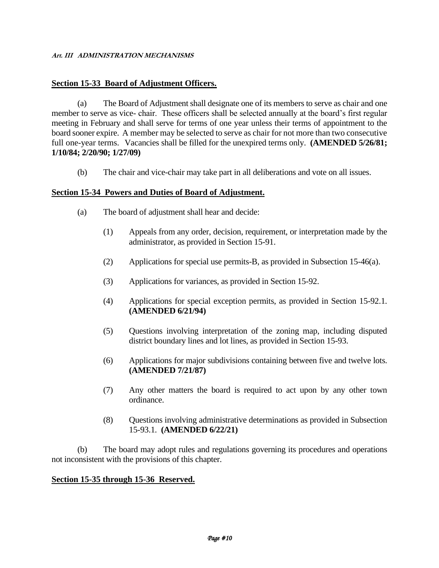#### **Section 15-33 Board of Adjustment Officers.**

(a) The Board of Adjustment shall designate one of its members to serve as chair and one member to serve as vice- chair. These officers shall be selected annually at the board's first regular meeting in February and shall serve for terms of one year unless their terms of appointment to the board sooner expire. A member may be selected to serve as chair for not more than two consecutive full one-year terms. Vacancies shall be filled for the unexpired terms only. **(AMENDED 5/26/81; 1/10/84; 2/20/90; 1/27/09)**

(b) The chair and vice-chair may take part in all deliberations and vote on all issues.

#### **Section 15-34 Powers and Duties of Board of Adjustment.**

- (a) The board of adjustment shall hear and decide:
	- (1) Appeals from any order, decision, requirement, or interpretation made by the administrator, as provided in Section 15-91.
	- (2) Applications for special use permits-B, as provided in Subsection 15-46(a).
	- (3) Applications for variances, as provided in Section 15-92.
	- (4) Applications for special exception permits, as provided in Section 15-92.1. **(AMENDED 6/21/94)**
	- (5) Questions involving interpretation of the zoning map, including disputed district boundary lines and lot lines, as provided in Section 15-93.
	- (6) Applications for major subdivisions containing between five and twelve lots. **(AMENDED 7/21/87)**
	- (7) Any other matters the board is required to act upon by any other town ordinance.
	- (8) Questions involving administrative determinations as provided in Subsection 15-93.1. **(AMENDED 6/22/21)**

(b) The board may adopt rules and regulations governing its procedures and operations not inconsistent with the provisions of this chapter.

#### **Section 15-35 through 15-36 Reserved.**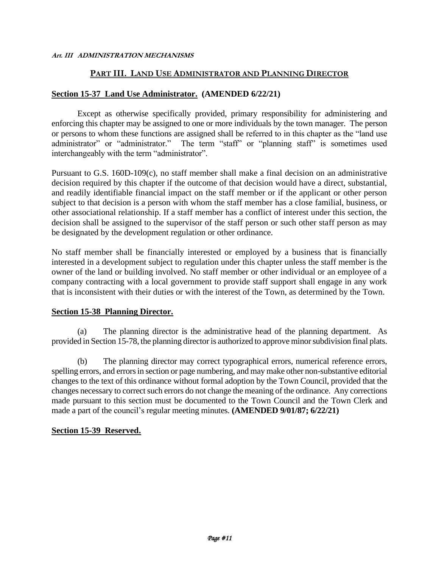#### **PART III. LAND USE ADMINISTRATOR AND PLANNING DIRECTOR**

#### **Section 15-37 Land Use Administrator. (AMENDED 6/22/21)**

Except as otherwise specifically provided, primary responsibility for administering and enforcing this chapter may be assigned to one or more individuals by the town manager. The person or persons to whom these functions are assigned shall be referred to in this chapter as the "land use administrator" or "administrator." The term "staff" or "planning staff" is sometimes used interchangeably with the term "administrator".

Pursuant to G.S. 160D-109(c), no staff member shall make a final decision on an administrative decision required by this chapter if the outcome of that decision would have a direct, substantial, and readily identifiable financial impact on the staff member or if the applicant or other person subject to that decision is a person with whom the staff member has a close familial, business, or other associational relationship. If a staff member has a conflict of interest under this section, the decision shall be assigned to the supervisor of the staff person or such other staff person as may be designated by the development regulation or other ordinance.

No staff member shall be financially interested or employed by a business that is financially interested in a development subject to regulation under this chapter unless the staff member is the owner of the land or building involved. No staff member or other individual or an employee of a company contracting with a local government to provide staff support shall engage in any work that is inconsistent with their duties or with the interest of the Town, as determined by the Town.

#### **Section 15-38 Planning Director.**

(a) The planning director is the administrative head of the planning department. As provided in Section 15-78, the planning director is authorized to approve minorsubdivision final plats.

(b) The planning director may correct typographical errors, numerical reference errors, spelling errors, and errors in section or page numbering, and may make other non-substantive editorial changes to the text of this ordinance without formal adoption by the Town Council, provided that the changes necessary to correct such errors do not change the meaning of the ordinance. Any corrections made pursuant to this section must be documented to the Town Council and the Town Clerk and made a part of the council's regular meeting minutes. **(AMENDED 9/01/87; 6/22/21)**

#### **Section 15-39 Reserved.**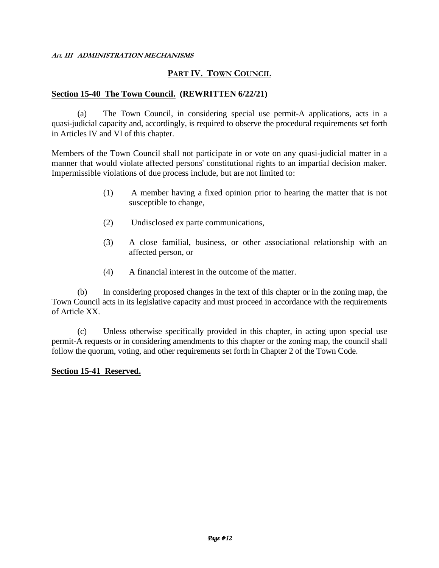#### **PART IV. TOWN COUNCIL**

#### **Section 15-40 The Town Council. (REWRITTEN 6/22/21)**

(a) The Town Council, in considering special use permit-A applications, acts in a quasi-judicial capacity and, accordingly, is required to observe the procedural requirements set forth in Articles IV and VI of this chapter.

Members of the Town Council shall not participate in or vote on any quasi-judicial matter in a manner that would violate affected persons' constitutional rights to an impartial decision maker. Impermissible violations of due process include, but are not limited to:

- (1) A member having a fixed opinion prior to hearing the matter that is not susceptible to change,
- (2) Undisclosed ex parte communications,
- (3) A close familial, business, or other associational relationship with an affected person, or
- (4) A financial interest in the outcome of the matter.

(b) In considering proposed changes in the text of this chapter or in the zoning map, the Town Council acts in its legislative capacity and must proceed in accordance with the requirements of Article XX.

(c) Unless otherwise specifically provided in this chapter, in acting upon special use permit-A requests or in considering amendments to this chapter or the zoning map, the council shall follow the quorum, voting, and other requirements set forth in Chapter 2 of the Town Code.

#### **Section 15-41 Reserved.**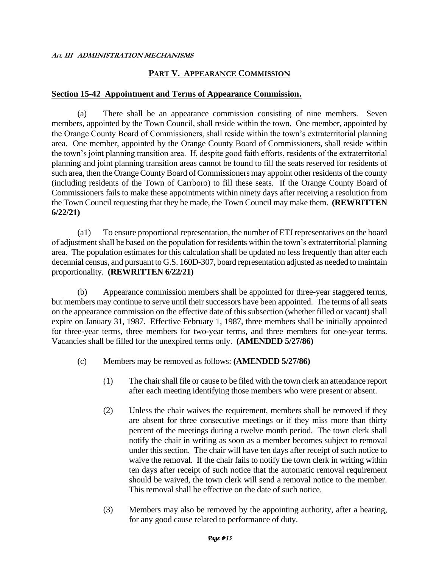# **PART V. APPEARANCE COMMISSION**

#### **Section 15-42 Appointment and Terms of Appearance Commission.**

(a) There shall be an appearance commission consisting of nine members. Seven members, appointed by the Town Council, shall reside within the town. One member, appointed by the Orange County Board of Commissioners, shall reside within the town's extraterritorial planning area. One member, appointed by the Orange County Board of Commissioners, shall reside within the town's joint planning transition area. If, despite good faith efforts, residents of the extraterritorial planning and joint planning transition areas cannot be found to fill the seats reserved for residents of such area, then the Orange County Board of Commissioners may appoint other residents of the county (including residents of the Town of Carrboro) to fill these seats. If the Orange County Board of Commissioners fails to make these appointments within ninety days after receiving a resolution from the Town Council requesting that they be made, the Town Council may make them. **(REWRITTEN 6/22/21)**

(a1) To ensure proportional representation, the number of ETJ representatives on the board of adjustment shall be based on the population for residents within the town's extraterritorial planning area. The population estimates for this calculation shall be updated no less frequently than after each decennial census, and pursuant to G.S. 160D-307, board representation adjusted as needed to maintain proportionality. **(REWRITTEN 6/22/21)**

(b) Appearance commission members shall be appointed for three-year staggered terms, but members may continue to serve until their successors have been appointed. The terms of all seats on the appearance commission on the effective date of this subsection (whether filled or vacant) shall expire on January 31, 1987. Effective February 1, 1987, three members shall be initially appointed for three-year terms, three members for two-year terms, and three members for one-year terms. Vacancies shall be filled for the unexpired terms only. **(AMENDED 5/27/86)**

- (c) Members may be removed as follows: **(AMENDED 5/27/86)**
	- (1) The chair shall file or cause to be filed with the town clerk an attendance report after each meeting identifying those members who were present or absent.
	- (2) Unless the chair waives the requirement, members shall be removed if they are absent for three consecutive meetings or if they miss more than thirty percent of the meetings during a twelve month period. The town clerk shall notify the chair in writing as soon as a member becomes subject to removal under this section. The chair will have ten days after receipt of such notice to waive the removal. If the chair fails to notify the town clerk in writing within ten days after receipt of such notice that the automatic removal requirement should be waived, the town clerk will send a removal notice to the member. This removal shall be effective on the date of such notice.
	- (3) Members may also be removed by the appointing authority, after a hearing, for any good cause related to performance of duty.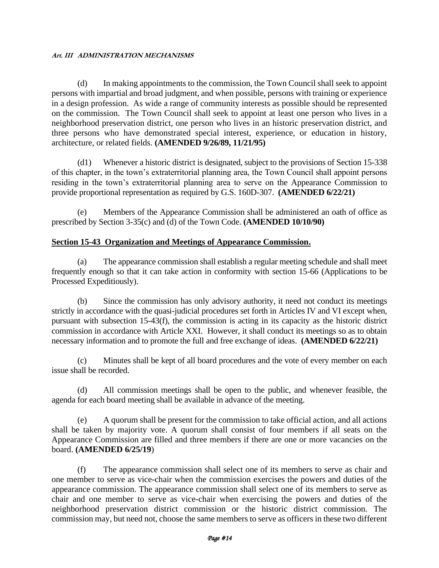(d) In making appointments to the commission, the Town Council shall seek to appoint persons with impartial and broad judgment, and when possible, persons with training or experience in a design profession. As wide a range of community interests as possible should be represented on the commission. The Town Council shall seek to appoint at least one person who lives in a neighborhood preservation district, one person who lives in an historic preservation district, and three persons who have demonstrated special interest, experience, or education in history, architecture, or related fields. **(AMENDED 9/26/89, 11/21/95)**

(d1) Whenever a historic district is designated, subject to the provisions of Section 15-338 of this chapter, in the town's extraterritorial planning area, the Town Council shall appoint persons residing in the town's extraterritorial planning area to serve on the Appearance Commission to provide proportional representation as required by G.S. 160D-307. **(AMENDED 6/22/21)**

(e) Members of the Appearance Commission shall be administered an oath of office as prescribed by Section 3-35(c) and (d) of the Town Code. **(AMENDED 10/10/90)**

# **Section 15-43 Organization and Meetings of Appearance Commission.**

(a) The appearance commission shall establish a regular meeting schedule and shall meet frequently enough so that it can take action in conformity with section 15-66 (Applications to be Processed Expeditiously).

(b) Since the commission has only advisory authority, it need not conduct its meetings strictly in accordance with the quasi-judicial procedures set forth in Articles IV and VI except when, pursuant with subsection 15-43(f), the commission is acting in its capacity as the historic district commission in accordance with Article XXI. However, it shall conduct its meetings so as to obtain necessary information and to promote the full and free exchange of ideas. **(AMENDED 6/22/21)**

(c) Minutes shall be kept of all board procedures and the vote of every member on each issue shall be recorded.

(d) All commission meetings shall be open to the public, and whenever feasible, the agenda for each board meeting shall be available in advance of the meeting.

(e) A quorum shall be present for the commission to take official action, and all actions shall be taken by majority vote. A quorum shall consist of four members if all seats on the Appearance Commission are filled and three members if there are one or more vacancies on the board. **(AMENDED 6/25/19**)

(f) The appearance commission shall select one of its members to serve as chair and one member to serve as vice-chair when the commission exercises the powers and duties of the appearance commission. The appearance commission shall select one of its members to serve as chair and one member to serve as vice-chair when exercising the powers and duties of the neighborhood preservation district commission or the historic district commission. The commission may, but need not, choose the same members to serve as officers in these two different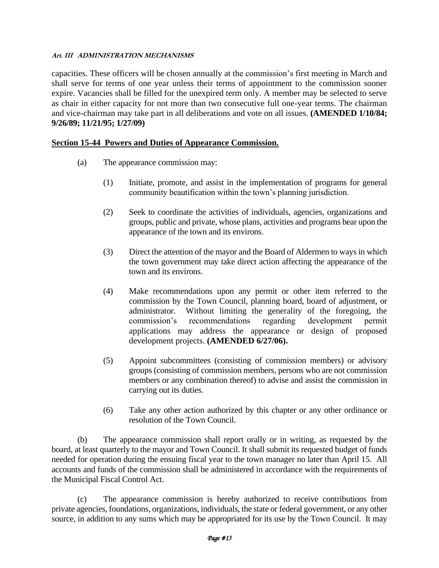capacities. These officers will be chosen annually at the commission's first meeting in March and shall serve for terms of one year unless their terms of appointment to the commission sooner expire. Vacancies shall be filled for the unexpired term only. A member may be selected to serve as chair in either capacity for not more than two consecutive full one-year terms. The chairman and vice-chairman may take part in all deliberations and vote on all issues. **(AMENDED 1/10/84; 9/26/89; 11/21/95; 1/27/09)**

#### **Section 15-44 Powers and Duties of Appearance Commission.**

- (a) The appearance commission may:
	- (1) Initiate, promote, and assist in the implementation of programs for general community beautification within the town's planning jurisdiction.
	- (2) Seek to coordinate the activities of individuals, agencies, organizations and groups, public and private, whose plans, activities and programs bear upon the appearance of the town and its environs.
	- (3) Direct the attention of the mayor and the Board of Aldermen to ways in which the town government may take direct action affecting the appearance of the town and its environs.
	- (4) Make recommendations upon any permit or other item referred to the commission by the Town Council, planning board, board of adjustment, or administrator. Without limiting the generality of the foregoing, the commission's recommendations regarding development permit applications may address the appearance or design of proposed development projects. **(AMENDED 6/27/06).**
	- (5) Appoint subcommittees (consisting of commission members) or advisory groups (consisting of commission members, persons who are not commission members or any combination thereof) to advise and assist the commission in carrying out its duties.
	- (6) Take any other action authorized by this chapter or any other ordinance or resolution of the Town Council.

(b) The appearance commission shall report orally or in writing, as requested by the board, at least quarterly to the mayor and Town Council. It shall submit its requested budget of funds needed for operation during the ensuing fiscal year to the town manager no later than April 15. All accounts and funds of the commission shall be administered in accordance with the requirements of the Municipal Fiscal Control Act.

(c) The appearance commission is hereby authorized to receive contributions from private agencies, foundations, organizations, individuals, the state or federal government, or any other source, in addition to any sums which may be appropriated for its use by the Town Council. It may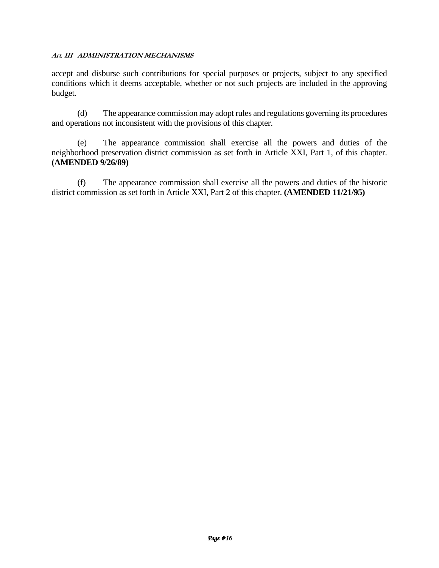accept and disburse such contributions for special purposes or projects, subject to any specified conditions which it deems acceptable, whether or not such projects are included in the approving budget.

(d) The appearance commission may adopt rules and regulations governing its procedures and operations not inconsistent with the provisions of this chapter.

(e) The appearance commission shall exercise all the powers and duties of the neighborhood preservation district commission as set forth in Article XXI, Part 1, of this chapter. **(AMENDED 9/26/89)**

(f) The appearance commission shall exercise all the powers and duties of the historic district commission as set forth in Article XXI, Part 2 of this chapter. **(AMENDED 11/21/95)**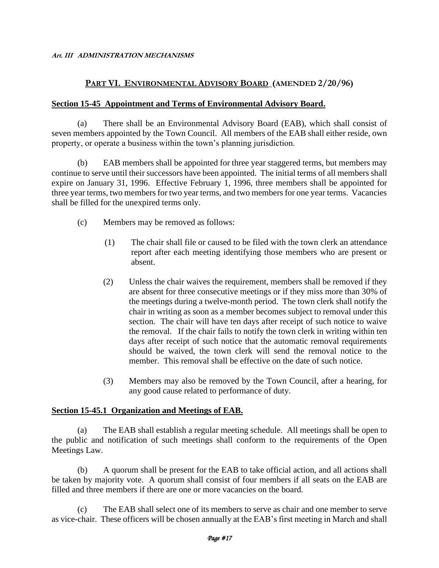# **PART VI. ENVIRONMENTAL ADVISORY BOARD (AMENDED 2/20/96)**

#### **Section 15-45 Appointment and Terms of Environmental Advisory Board.**

(a) There shall be an Environmental Advisory Board (EAB), which shall consist of seven members appointed by the Town Council. All members of the EAB shall either reside, own property, or operate a business within the town's planning jurisdiction.

(b) EAB members shall be appointed for three year staggered terms, but members may continue to serve until their successors have been appointed. The initial terms of all members shall expire on January 31, 1996. Effective February 1, 1996, three members shall be appointed for three year terms, two members for two year terms, and two members for one year terms. Vacancies shall be filled for the unexpired terms only.

- (c) Members may be removed as follows:
	- (1) The chair shall file or caused to be filed with the town clerk an attendance report after each meeting identifying those members who are present or absent.
	- (2) Unless the chair waives the requirement, members shall be removed if they are absent for three consecutive meetings or if they miss more than 30% of the meetings during a twelve-month period. The town clerk shall notify the chair in writing as soon as a member becomes subject to removal under this section. The chair will have ten days after receipt of such notice to waive the removal. If the chair fails to notify the town clerk in writing within ten days after receipt of such notice that the automatic removal requirements should be waived, the town clerk will send the removal notice to the member. This removal shall be effective on the date of such notice.
	- (3) Members may also be removed by the Town Council, after a hearing, for any good cause related to performance of duty.

#### **Section 15-45.1 Organization and Meetings of EAB.**

(a) The EAB shall establish a regular meeting schedule. All meetings shall be open to the public and notification of such meetings shall conform to the requirements of the Open Meetings Law.

(b) A quorum shall be present for the EAB to take official action, and all actions shall be taken by majority vote. A quorum shall consist of four members if all seats on the EAB are filled and three members if there are one or more vacancies on the board.

(c) The EAB shall select one of its members to serve as chair and one member to serve as vice-chair. These officers will be chosen annually at the EAB's first meeting in March and shall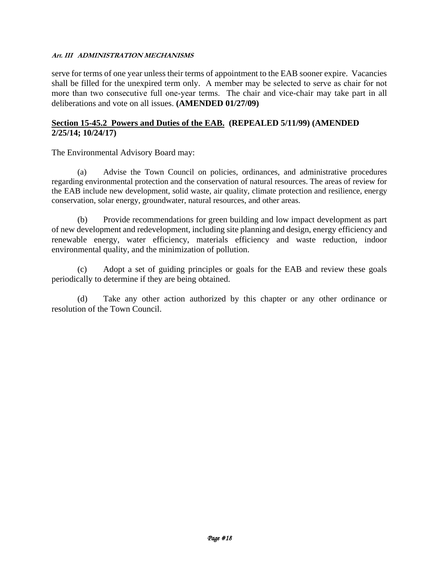serve for terms of one year unless their terms of appointment to the EAB sooner expire. Vacancies shall be filled for the unexpired term only. A member may be selected to serve as chair for not more than two consecutive full one-year terms. The chair and vice-chair may take part in all deliberations and vote on all issues. **(AMENDED 01/27/09)**

#### **Section 15-45.2 Powers and Duties of the EAB. (REPEALED 5/11/99) (AMENDED 2/25/14; 10/24/17)**

The Environmental Advisory Board may:

(a) Advise the Town Council on policies, ordinances, and administrative procedures regarding environmental protection and the conservation of natural resources. The areas of review for the EAB include new development, solid waste, air quality, climate protection and resilience, energy conservation, solar energy, groundwater, natural resources, and other areas.

(b) Provide recommendations for green building and low impact development as part of new development and redevelopment, including site planning and design, energy efficiency and renewable energy, water efficiency, materials efficiency and waste reduction, indoor environmental quality, and the minimization of pollution.

(c) Adopt a set of guiding principles or goals for the EAB and review these goals periodically to determine if they are being obtained.

(d) Take any other action authorized by this chapter or any other ordinance or resolution of the Town Council.